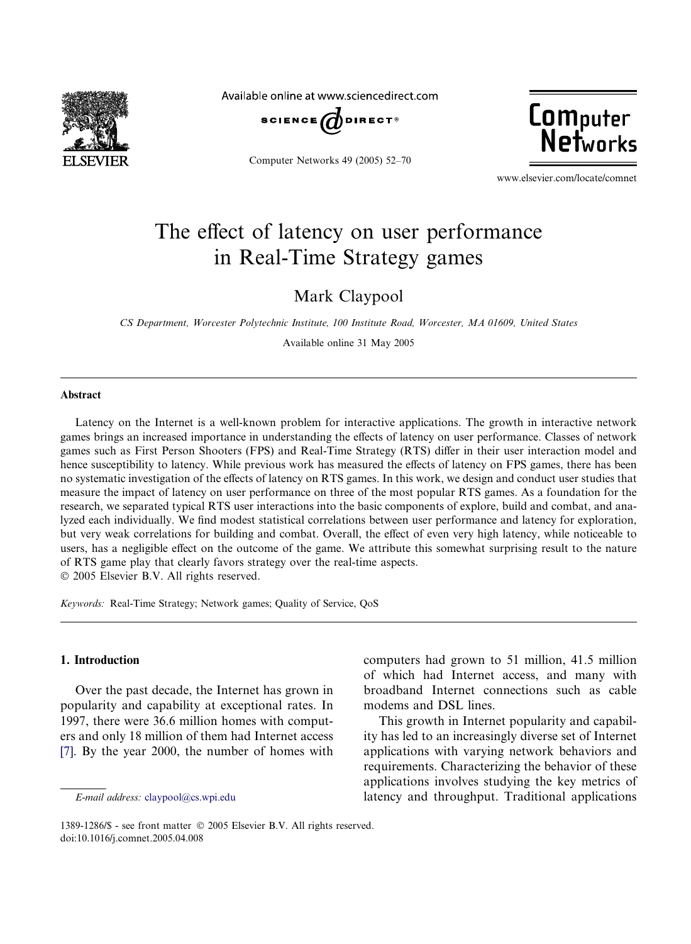

Available online at www.sciencedirect.com



Computer Networks 49 (2005) 52–70



www.elsevier.com/locate/comnet

# The effect of latency on user performance in Real-Time Strategy games

Mark Claypool

CS Department, Worcester Polytechnic Institute, 100 Institute Road, Worcester, MA 01609, United States

Available online 31 May 2005

#### Abstract

Latency on the Internet is a well-known problem for interactive applications. The growth in interactive network games brings an increased importance in understanding the effects of latency on user performance. Classes of network games such as First Person Shooters (FPS) and Real-Time Strategy (RTS) differ in their user interaction model and hence susceptibility to latency. While previous work has measured the effects of latency on FPS games, there has been no systematic investigation of the effects of latency on RTS games. In this work, we design and conduct user studies that measure the impact of latency on user performance on three of the most popular RTS games. As a foundation for the research, we separated typical RTS user interactions into the basic components of explore, build and combat, and analyzed each individually. We find modest statistical correlations between user performance and latency for exploration, but very weak correlations for building and combat. Overall, the effect of even very high latency, while noticeable to users, has a negligible effect on the outcome of the game. We attribute this somewhat surprising result to the nature of RTS game play that clearly favors strategy over the real-time aspects. 2005 Elsevier B.V. All rights reserved.

Keywords: Real-Time Strategy; Network games; Quality of Service, QoS

## 1. Introduction

Over the past decade, the Internet has grown in popularity and capability at exceptional rates. In 1997, there were 36.6 million homes with computers and only 18 million of them had Internet access [\[7\].](#page-17-0) By the year 2000, the number of homes with computers had grown to 51 million, 41.5 million of which had Internet access, and many with broadband Internet connections such as cable modems and DSL lines.

This growth in Internet popularity and capability has led to an increasingly diverse set of Internet applications with varying network behaviors and requirements. Characterizing the behavior of these applications involves studying the key metrics of latency and throughput. Traditional applications

E-mail address: [claypool@cs.wpi.edu](mailto:claypool@cs.wpi.edu)

<sup>1389-1286/\$ -</sup> see front matter 2005 Elsevier B.V. All rights reserved. doi:10.1016/j.comnet.2005.04.008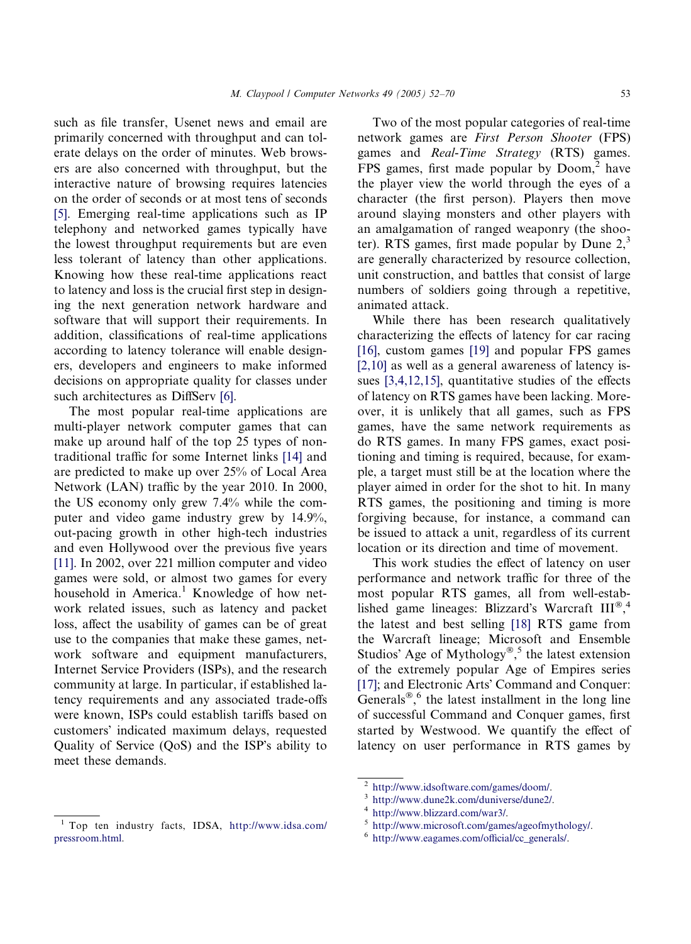M. Claypool / Computer Networks 49 (2005) 52–70 53

such as file transfer, Usenet news and email are primarily concerned with throughput and can tolerate delays on the order of minutes. Web browsers are also concerned with throughput, but the interactive nature of browsing requires latencies on the order of seconds or at most tens of seconds [\[5\].](#page-17-0) Emerging real-time applications such as IP telephony and networked games typically have the lowest throughput requirements but are even less tolerant of latency than other applications. Knowing how these real-time applications react to latency and loss is the crucial first step in designing the next generation network hardware and software that will support their requirements. In addition, classifications of real-time applications according to latency tolerance will enable designers, developers and engineers to make informed decisions on appropriate quality for classes under such architectures as DiffServ [\[6\].](#page-17-0)

The most popular real-time applications are multi-player network computer games that can make up around half of the top 25 types of nontraditional traffic for some Internet links [\[14\]](#page-18-0) and are predicted to make up over 25% of Local Area Network (LAN) traffic by the year 2010. In 2000, the US economy only grew 7.4% while the computer and video game industry grew by 14.9%, out-pacing growth in other high-tech industries and even Hollywood over the previous five years [\[11\].](#page-17-0) In 2002, over 221 million computer and video games were sold, or almost two games for every household in America.<sup>1</sup> Knowledge of how network related issues, such as latency and packet loss, affect the usability of games can be of great use to the companies that make these games, network software and equipment manufacturers, Internet Service Providers (ISPs), and the research community at large. In particular, if established latency requirements and any associated trade-offs were known, ISPs could establish tariffs based on customers' indicated maximum delays, requested Quality of Service (QoS) and the ISP's ability to meet these demands.

<sup>1</sup> Top ten industry facts, IDSA, http://www.idsa.com/ pressroom.html.

Two of the most popular categories of real-time network games are First Person Shooter (FPS) games and Real-Time Strategy (RTS) games. FPS games, first made popular by Doom,<sup>2</sup> have the player view the world through the eyes of a character (the first person). Players then move around slaying monsters and other players with an amalgamation of ranged weaponry (the shooter). RTS games, first made popular by Dune  $2<sup>3</sup>$ are generally characterized by resource collection, unit construction, and battles that consist of large numbers of soldiers going through a repetitive, animated attack.

While there has been research qualitatively characterizing the effects of latency for car racing [\[16\]](#page-18-0), custom games [\[19\]](#page-18-0) and popular FPS games [\[2,10\]](#page-17-0) as well as a general awareness of latency issues [\[3,4,12,15\],](#page-17-0) quantitative studies of the effects of latency on RTS games have been lacking. Moreover, it is unlikely that all games, such as FPS games, have the same network requirements as do RTS games. In many FPS games, exact positioning and timing is required, because, for example, a target must still be at the location where the player aimed in order for the shot to hit. In many RTS games, the positioning and timing is more forgiving because, for instance, a command can be issued to attack a unit, regardless of its current location or its direction and time of movement.

This work studies the effect of latency on user performance and network traffic for three of the most popular RTS games, all from well-established game lineages: Blizzard's Warcraft  $III^{\circledast,4}$ the latest and best selling [\[18\]](#page-18-0) RTS game from the Warcraft lineage; Microsoft and Ensemble Studios' Age of Mythology<sup>®</sup>,<sup>5</sup> the latest extension of the extremely popular Age of Empires series [\[17\]](#page-18-0); and Electronic Arts' Command and Conquer: Generals<sup>®</sup>,  $6$  the latest installment in the long line of successful Command and Conquer games, first started by Westwood. We quantify the effect of latency on user performance in RTS games by

 $^{2}$  <http://www.idsoftware.com/games/doom/>.<br> $^{3}$  http://www.dune2k.com/duniverse/dune2/.

<sup>&</sup>lt;sup>4</sup> <http://www.blizzard.com/war3/>.<br>
<sup>5</sup> <http://www.microsoft.com/games/ageofmythology/>.<br>
<sup>6</sup> [http://www.eagames.com/official/cc\\_generals/](http://www.eagames.com/official/cc_generals/).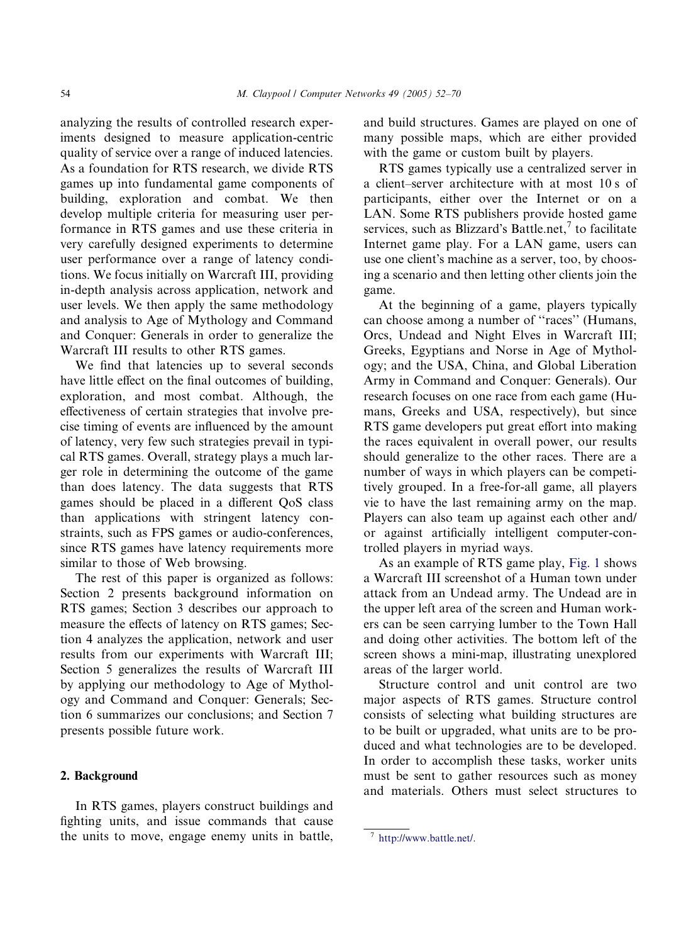analyzing the results of controlled research experiments designed to measure application-centric quality of service over a range of induced latencies. As a foundation for RTS research, we divide RTS games up into fundamental game components of building, exploration and combat. We then develop multiple criteria for measuring user performance in RTS games and use these criteria in very carefully designed experiments to determine user performance over a range of latency conditions. We focus initially on Warcraft III, providing in-depth analysis across application, network and user levels. We then apply the same methodology and analysis to Age of Mythology and Command and Conquer: Generals in order to generalize the Warcraft III results to other RTS games.

We find that latencies up to several seconds have little effect on the final outcomes of building, exploration, and most combat. Although, the effectiveness of certain strategies that involve precise timing of events are influenced by the amount of latency, very few such strategies prevail in typical RTS games. Overall, strategy plays a much larger role in determining the outcome of the game than does latency. The data suggests that RTS games should be placed in a different QoS class than applications with stringent latency constraints, such as FPS games or audio-conferences, since RTS games have latency requirements more similar to those of Web browsing.

The rest of this paper is organized as follows: Section 2 presents background information on RTS games; Section 3 describes our approach to measure the effects of latency on RTS games; Section 4 analyzes the application, network and user results from our experiments with Warcraft III; Section 5 generalizes the results of Warcraft III by applying our methodology to Age of Mythology and Command and Conquer: Generals; Section 6 summarizes our conclusions; and Section 7 presents possible future work.

#### 2. Background

In RTS games, players construct buildings and fighting units, and issue commands that cause the units to move, engage enemy units in battle, and build structures. Games are played on one of many possible maps, which are either provided with the game or custom built by players.

RTS games typically use a centralized server in a client–server architecture with at most 10s of participants, either over the Internet or on a LAN. Some RTS publishers provide hosted game services, such as Blizzard's Battle.net, $\frac{7}{1}$  to facilitate Internet game play. For a LAN game, users can use one client's machine as a server, too, by choosing a scenario and then letting other clients join the game.

At the beginning of a game, players typically can choose among a number of ''races'' (Humans, Orcs, Undead and Night Elves in Warcraft III; Greeks, Egyptians and Norse in Age of Mythology; and the USA, China, and Global Liberation Army in Command and Conquer: Generals). Our research focuses on one race from each game (Humans, Greeks and USA, respectively), but since RTS game developers put great effort into making the races equivalent in overall power, our results should generalize to the other races. There are a number of ways in which players can be competitively grouped. In a free-for-all game, all players vie to have the last remaining army on the map. Players can also team up against each other and/ or against artificially intelligent computer-controlled players in myriad ways.

As an example of RTS game play, [Fig. 1](#page-3-0) shows a Warcraft III screenshot of a Human town under attack from an Undead army. The Undead are in the upper left area of the screen and Human workers can be seen carrying lumber to the Town Hall and doing other activities. The bottom left of the screen shows a mini-map, illustrating unexplored areas of the larger world.

Structure control and unit control are two major aspects of RTS games. Structure control consists of selecting what building structures are to be built or upgraded, what units are to be produced and what technologies are to be developed. In order to accomplish these tasks, worker units must be sent to gather resources such as money and materials. Others must select structures to

<sup>7</sup> [http://www.battle.net/.](http://www.battle.net/)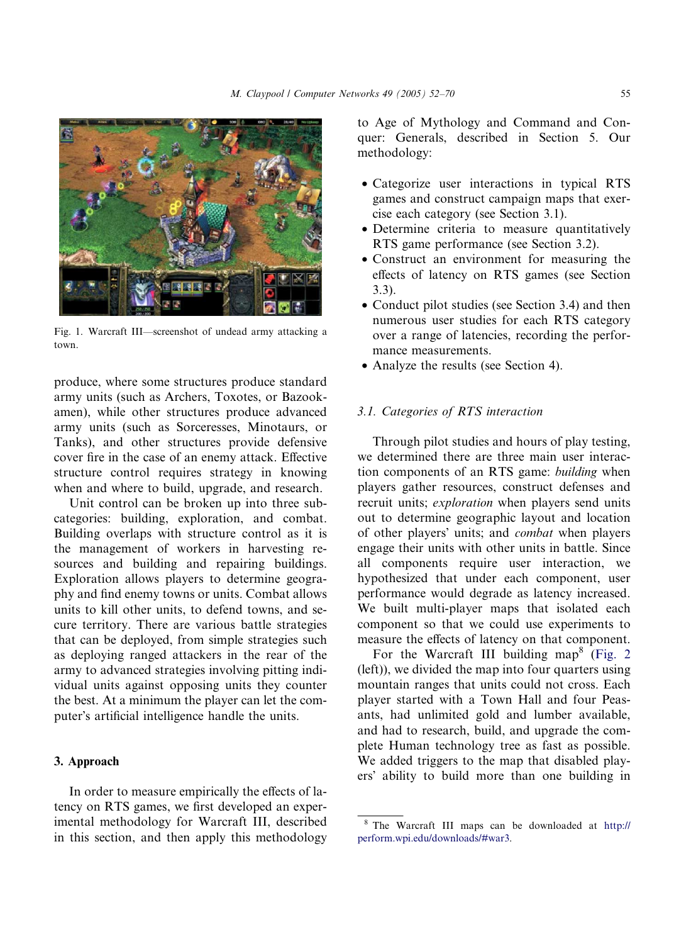<span id="page-3-0"></span>

Fig. 1. Warcraft III—screenshot of undead army attacking a town.

produce, where some structures produce standard army units (such as Archers, Toxotes, or Bazookamen), while other structures produce advanced army units (such as Sorceresses, Minotaurs, or Tanks), and other structures provide defensive cover fire in the case of an enemy attack. Effective structure control requires strategy in knowing when and where to build, upgrade, and research.

Unit control can be broken up into three subcategories: building, exploration, and combat. Building overlaps with structure control as it is the management of workers in harvesting resources and building and repairing buildings. Exploration allows players to determine geography and find enemy towns or units. Combat allows units to kill other units, to defend towns, and secure territory. There are various battle strategies that can be deployed, from simple strategies such as deploying ranged attackers in the rear of the army to advanced strategies involving pitting individual units against opposing units they counter the best. At a minimum the player can let the computer's artificial intelligence handle the units.

# 3. Approach

In order to measure empirically the effects of latency on RTS games, we first developed an experimental methodology for Warcraft III, described in this section, and then apply this methodology to Age of Mythology and Command and Conquer: Generals, described in Section 5. Our methodology:

- Categorize user interactions in typical RTS games and construct campaign maps that exercise each category (see Section 3.1).
- Determine criteria to measure quantitatively RTS game performance (see Section 3.2).
- Construct an environment for measuring the effects of latency on RTS games (see Section 3.3).
- Conduct pilot studies (see Section 3.4) and then numerous user studies for each RTS category over a range of latencies, recording the performance measurements.
- Analyze the results (see Section 4).

## 3.1. Categories of RTS interaction

Through pilot studies and hours of play testing, we determined there are three main user interaction components of an RTS game: building when players gather resources, construct defenses and recruit units; exploration when players send units out to determine geographic layout and location of other players' units; and *combat* when players engage their units with other units in battle. Since all components require user interaction, we hypothesized that under each component, user performance would degrade as latency increased. We built multi-player maps that isolated each component so that we could use experiments to measure the effects of latency on that component.

For the Warcraft III building map<sup>8</sup> ([Fig. 2](#page-4-0)) (left)), we divided the map into four quarters using mountain ranges that units could not cross. Each player started with a Town Hall and four Peasants, had unlimited gold and lumber available, and had to research, build, and upgrade the complete Human technology tree as fast as possible. We added triggers to the map that disabled players' ability to build more than one building in

<sup>8</sup> The Warcraft III maps can be downloaded at [http://](http://-perform.wpi.edu/downloads/#war3) [perform.wpi.edu/downloads/#war3](http://-perform.wpi.edu/downloads/#war3).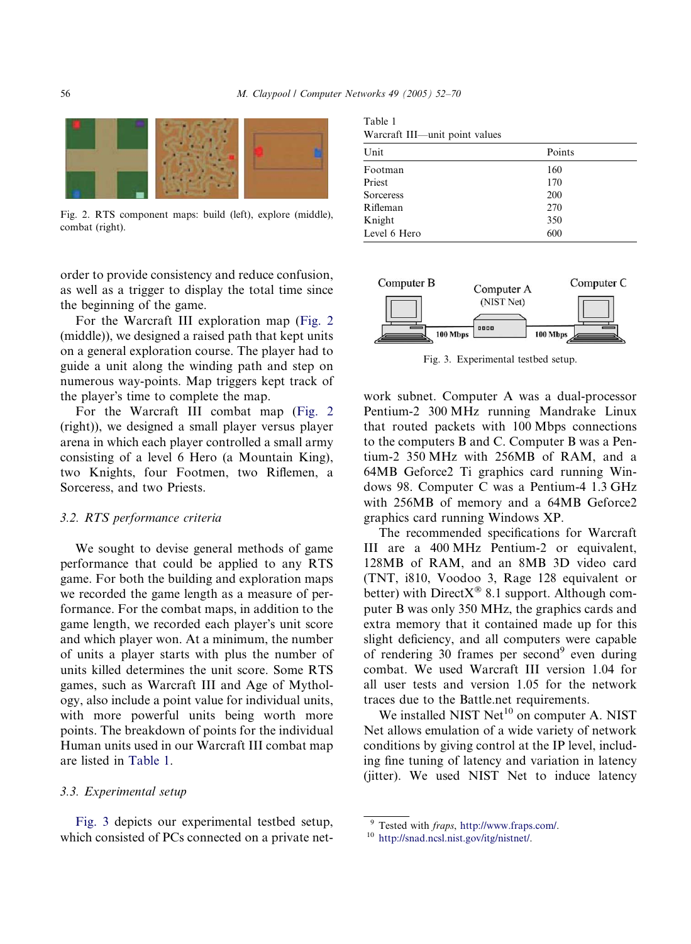Table 1

<span id="page-4-0"></span>

Fig. 2. RTS component maps: build (left), explore (middle), combat (right).

order to provide consistency and reduce confusion, as well as a trigger to display the total time since the beginning of the game.

For the Warcraft III exploration map (Fig. 2 (middle)), we designed a raised path that kept units on a general exploration course. The player had to guide a unit along the winding path and step on numerous way-points. Map triggers kept track of the player's time to complete the map.

For the Warcraft III combat map (Fig. 2 (right)), we designed a small player versus player arena in which each player controlled a small army consisting of a level 6 Hero (a Mountain King), two Knights, four Footmen, two Riflemen, a Sorceress, and two Priests.

#### 3.2. RTS performance criteria

We sought to devise general methods of game performance that could be applied to any RTS game. For both the building and exploration maps we recorded the game length as a measure of performance. For the combat maps, in addition to the game length, we recorded each player's unit score and which player won. At a minimum, the number of units a player starts with plus the number of units killed determines the unit score. Some RTS games, such as Warcraft III and Age of Mythology, also include a point value for individual units, with more powerful units being worth more points. The breakdown of points for the individual Human units used in our Warcraft III combat map are listed in Table 1.

#### 3.3. Experimental setup

Fig. 3 depicts our experimental testbed setup, which consisted of PCs connected on a private net-

| Warcraft III-unit point values |        |  |
|--------------------------------|--------|--|
| Unit                           | Points |  |
| Footman                        | 160    |  |
| Priest                         | 170    |  |
| <b>Sorceress</b>               | 200    |  |
| Rifleman                       | 270    |  |
| Knight                         | 350    |  |
| Level 6 Hero                   | 600    |  |



Fig. 3. Experimental testbed setup.

work subnet. Computer A was a dual-processor Pentium-2 300 MHz running Mandrake Linux that routed packets with 100 Mbps connections to the computers B and C. Computer B was a Pentium-2 350MHz with 256MB of RAM, and a 64MB Geforce2 Ti graphics card running Windows 98. Computer C was a Pentium-4 1.3 GHz with 256MB of memory and a 64MB Geforce2 graphics card running Windows XP.

The recommended specifications for Warcraft III are a 400 MHz Pentium-2 or equivalent, 128MB of RAM, and an 8MB 3D video card (TNT, i810, Voodoo 3, Rage 128 equivalent or better) with  $DirectX^{\otimes} 8.1$  support. Although computer B was only 350MHz, the graphics cards and extra memory that it contained made up for this slight deficiency, and all computers were capable of rendering 30 frames per second<sup>9</sup> even during combat. We used Warcraft III version 1.04 for all user tests and version 1.05 for the network traces due to the Battle.net requirements.

We installed NIST  $Net^{10}$  on computer A. NIST Net allows emulation of a wide variety of network conditions by giving control at the IP level, including fine tuning of latency and variation in latency (jitter). We used NIST Net to induce latency

<sup>&</sup>lt;sup>9</sup> Tested with *fraps*, <http://www.fraps.com/>.<br><sup>10</sup> <http://snad.ncsl.nist.gov/itg/nistnet/>.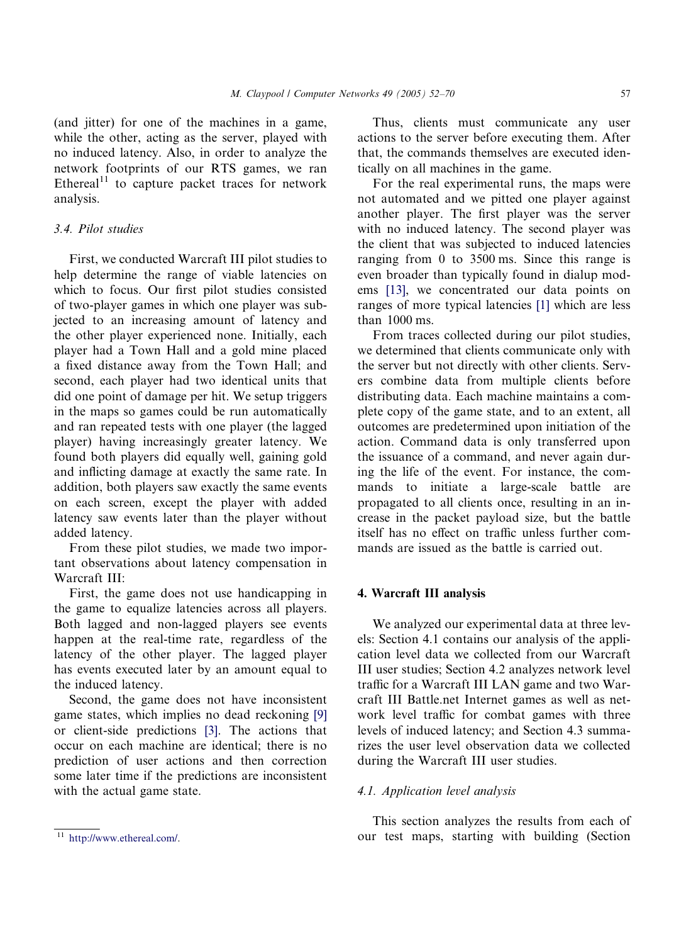(and jitter) for one of the machines in a game, while the other, acting as the server, played with no induced latency. Also, in order to analyze the network footprints of our RTS games, we ran Ethereal<sup>11</sup> to capture packet traces for network analysis.

## 3.4. Pilot studies

First, we conducted Warcraft III pilot studies to help determine the range of viable latencies on which to focus. Our first pilot studies consisted of two-player games in which one player was subjected to an increasing amount of latency and the other player experienced none. Initially, each player had a Town Hall and a gold mine placed a fixed distance away from the Town Hall; and second, each player had two identical units that did one point of damage per hit. We setup triggers in the maps so games could be run automatically and ran repeated tests with one player (the lagged player) having increasingly greater latency. We found both players did equally well, gaining gold and inflicting damage at exactly the same rate. In addition, both players saw exactly the same events on each screen, except the player with added latency saw events later than the player without added latency.

From these pilot studies, we made two important observations about latency compensation in Warcraft III:

First, the game does not use handicapping in the game to equalize latencies across all players. Both lagged and non-lagged players see events happen at the real-time rate, regardless of the latency of the other player. The lagged player has events executed later by an amount equal to the induced latency.

Second, the game does not have inconsistent game states, which implies no dead reckoning [\[9\]](#page-17-0) or client-side predictions [\[3\].](#page-17-0) The actions that occur on each machine are identical; there is no prediction of user actions and then correction some later time if the predictions are inconsistent with the actual game state.

Thus, clients must communicate any user actions to the server before executing them. After that, the commands themselves are executed identically on all machines in the game.

For the real experimental runs, the maps were not automated and we pitted one player against another player. The first player was the server with no induced latency. The second player was the client that was subjected to induced latencies ranging from 0 to 3500 ms. Since this range is even broader than typically found in dialup modems [\[13\],](#page-18-0) we concentrated our data points on ranges of more typical latencies [\[1\]](#page-17-0) which are less than 1000 ms.

From traces collected during our pilot studies, we determined that clients communicate only with the server but not directly with other clients. Servers combine data from multiple clients before distributing data. Each machine maintains a complete copy of the game state, and to an extent, all outcomes are predetermined upon initiation of the action. Command data is only transferred upon the issuance of a command, and never again during the life of the event. For instance, the commands to initiate a large-scale battle are propagated to all clients once, resulting in an increase in the packet payload size, but the battle itself has no effect on traffic unless further commands are issued as the battle is carried out.

## 4. Warcraft III analysis

We analyzed our experimental data at three levels: Section 4.1 contains our analysis of the application level data we collected from our Warcraft III user studies; Section 4.2 analyzes network level traffic for a Warcraft III LAN game and two Warcraft III Battle.net Internet games as well as network level traffic for combat games with three levels of induced latency; and Section 4.3 summarizes the user level observation data we collected during the Warcraft III user studies.

## 4.1. Application level analysis

This section analyzes the results from each of <sup>11</sup> [http://www.ethereal.com/.](http://www.ethereal.com/) **our test maps, starting with building (Section**)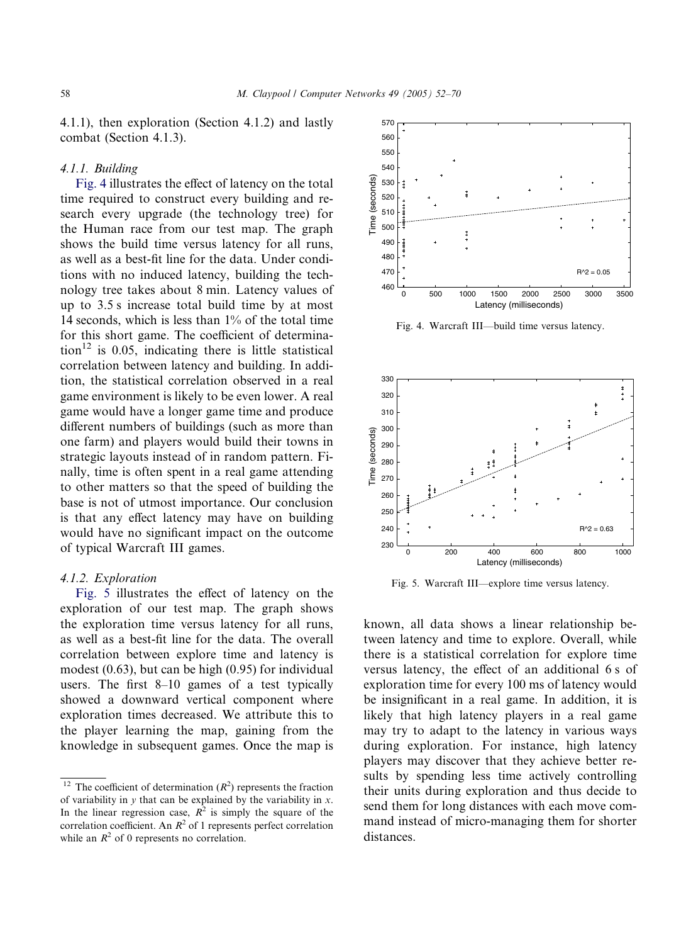4.1.1), then exploration (Section 4.1.2) and lastly combat (Section 4.1.3).

# 4.1.1. Building

Fig. 4 illustrates the effect of latency on the total time required to construct every building and research every upgrade (the technology tree) for the Human race from our test map. The graph shows the build time versus latency for all runs, as well as a best-fit line for the data. Under conditions with no induced latency, building the technology tree takes about 8 min. Latency values of up to 3.5 s increase total build time by at most 14 seconds, which is less than 1% of the total time for this short game. The coefficient of determination<sup>12</sup> is 0.05, indicating there is little statistical correlation between latency and building. In addition, the statistical correlation observed in a real game environment is likely to be even lower. A real game would have a longer game time and produce different numbers of buildings (such as more than one farm) and players would build their towns in strategic layouts instead of in random pattern. Finally, time is often spent in a real game attending to other matters so that the speed of building the base is not of utmost importance. Our conclusion is that any effect latency may have on building would have no significant impact on the outcome of typical Warcraft III games.

### 4.1.2. Exploration

Fig. 5 illustrates the effect of latency on the exploration of our test map. The graph shows the exploration time versus latency for all runs, as well as a best-fit line for the data. The overall correlation between explore time and latency is modest (0.63), but can be high (0.95) for individual users. The first  $8-10$  games of a test typically showed a downward vertical component where exploration times decreased. We attribute this to the player learning the map, gaining from the knowledge in subsequent games. Once the map is



Fig. 4. Warcraft III—build time versus latency.



Fig. 5. Warcraft III—explore time versus latency.

known, all data shows a linear relationship between latency and time to explore. Overall, while there is a statistical correlation for explore time versus latency, the effect of an additional 6 s of exploration time for every 100 ms of latency would be insignificant in a real game. In addition, it is likely that high latency players in a real game may try to adapt to the latency in various ways during exploration. For instance, high latency players may discover that they achieve better results by spending less time actively controlling their units during exploration and thus decide to send them for long distances with each move command instead of micro-managing them for shorter distances.

<sup>&</sup>lt;sup>12</sup> The coefficient of determination  $(R^2)$  represents the fraction of variability in  $y$  that can be explained by the variability in  $x$ . In the linear regression case,  $R^2$  is simply the square of the correlation coefficient. An  $R^2$  of 1 represents perfect correlation while an  $R^2$  of 0 represents no correlation.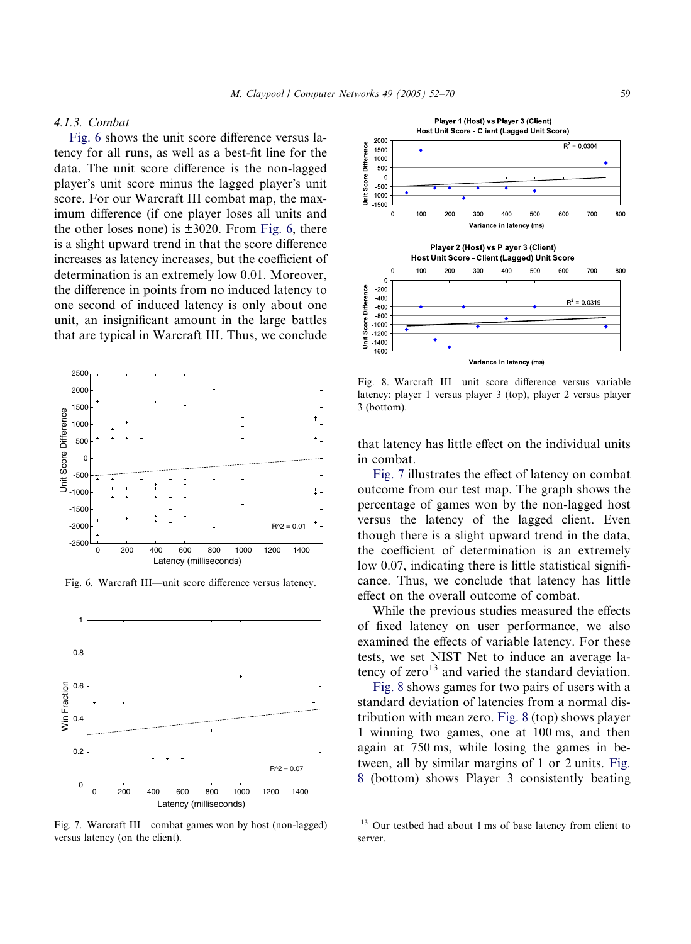#### 4.1.3. Combat

Fig. 6 shows the unit score difference versus latency for all runs, as well as a best-fit line for the data. The unit score difference is the non-lagged player's unit score minus the lagged player's unit score. For our Warcraft III combat map, the maximum difference (if one player loses all units and the other loses none) is  $\pm 3020$ . From Fig. 6, there is a slight upward trend in that the score difference increases as latency increases, but the coefficient of determination is an extremely low 0.01. Moreover, the difference in points from no induced latency to one second of induced latency is only about one unit, an insignificant amount in the large battles that are typical in Warcraft III. Thus, we conclude



Fig. 6. Warcraft III—unit score difference versus latency.



Fig. 7. Warcraft III—combat games won by host (non-lagged) versus latency (on the client).



Fig. 8. Warcraft III—unit score difference versus variable latency: player 1 versus player 3 (top), player 2 versus player 3 (bottom).

that latency has little effect on the individual units in combat.

Fig. 7 illustrates the effect of latency on combat outcome from our test map. The graph shows the percentage of games won by the non-lagged host versus the latency of the lagged client. Even though there is a slight upward trend in the data, the coefficient of determination is an extremely low 0.07, indicating there is little statistical significance. Thus, we conclude that latency has little effect on the overall outcome of combat.

While the previous studies measured the effects of fixed latency on user performance, we also examined the effects of variable latency. For these tests, we set NIST Net to induce an average latency of  $zero<sup>13</sup>$  and varied the standard deviation.

Fig. 8 shows games for two pairs of users with a standard deviation of latencies from a normal distribution with mean zero. Fig. 8 (top) shows player 1 winning two games, one at 100 ms, and then again at 750ms, while losing the games in between, all by similar margins of 1 or 2 units. Fig. 8 (bottom) shows Player 3 consistently beating

<sup>&</sup>lt;sup>13</sup> Our testbed had about 1 ms of base latency from client to server.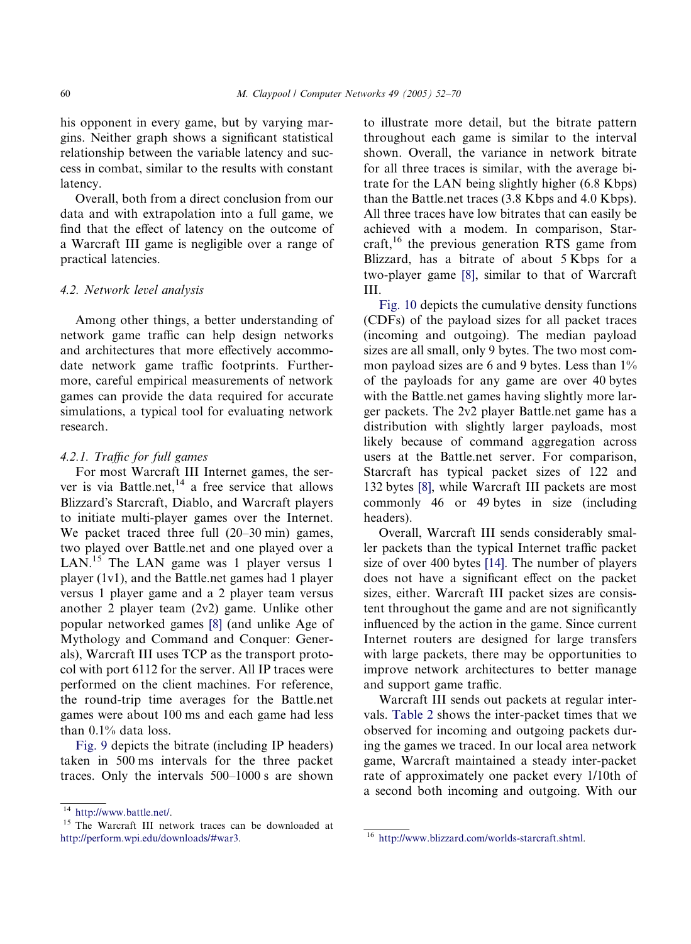his opponent in every game, but by varying margins. Neither graph shows a significant statistical relationship between the variable latency and success in combat, similar to the results with constant latency.

Overall, both from a direct conclusion from our data and with extrapolation into a full game, we find that the effect of latency on the outcome of a Warcraft III game is negligible over a range of practical latencies.

## 4.2. Network level analysis

Among other things, a better understanding of network game traffic can help design networks and architectures that more effectively accommodate network game traffic footprints. Furthermore, careful empirical measurements of network games can provide the data required for accurate simulations, a typical tool for evaluating network research.

#### 4.2.1. Traffic for full games

For most Warcraft III Internet games, the server is via Battle.net.<sup>14</sup> a free service that allows Blizzard's Starcraft, Diablo, and Warcraft players to initiate multi-player games over the Internet. We packet traced three full  $(20-30 \text{ min})$  games, two played over Battle.net and one played over a LAN.<sup>15</sup> The LAN game was 1 player versus 1 player (1v1), and the Battle.net games had 1 player versus 1 player game and a 2 player team versus another 2 player team (2v2) game. Unlike other popular networked games [\[8\]](#page-17-0) (and unlike Age of Mythology and Command and Conquer: Generals), Warcraft III uses TCP as the transport protocol with port 6112 for the server. All IP traces were performed on the client machines. For reference, the round-trip time averages for the Battle.net games were about 100 ms and each game had less than 0.1% data loss.

[Fig. 9](#page-9-0) depicts the bitrate (including IP headers) taken in 500 ms intervals for the three packet traces. Only the intervals 500–1000 s are shown to illustrate more detail, but the bitrate pattern throughout each game is similar to the interval shown. Overall, the variance in network bitrate for all three traces is similar, with the average bitrate for the LAN being slightly higher (6.8 Kbps) than the Battle.net traces (3.8 Kbps and 4.0 Kbps). All three traces have low bitrates that can easily be achieved with a modem. In comparison, Starcraft,  $^{16}$  the previous generation RTS game from Blizzard, has a bitrate of about 5 Kbps for a two-player game [\[8\]](#page-17-0), similar to that of Warcraft III.

[Fig. 10](#page-9-0) depicts the cumulative density functions (CDFs) of the payload sizes for all packet traces (incoming and outgoing). The median payload sizes are all small, only 9 bytes. The two most common payload sizes are 6 and 9 bytes. Less than 1% of the payloads for any game are over 40bytes with the Battle.net games having slightly more larger packets. The 2v2 player Battle.net game has a distribution with slightly larger payloads, most likely because of command aggregation across users at the Battle.net server. For comparison, Starcraft has typical packet sizes of 122 and 132 bytes [\[8\],](#page-17-0) while Warcraft III packets are most commonly 46 or 49 bytes in size (including headers).

Overall, Warcraft III sends considerably smaller packets than the typical Internet traffic packet size of over 400 bytes [\[14\]](#page-18-0). The number of players does not have a significant effect on the packet sizes, either. Warcraft III packet sizes are consistent throughout the game and are not significantly influenced by the action in the game. Since current Internet routers are designed for large transfers with large packets, there may be opportunities to improve network architectures to better manage and support game traffic.

Warcraft III sends out packets at regular intervals. [Table 2](#page-9-0) shows the inter-packet times that we observed for incoming and outgoing packets during the games we traced. In our local area network game, Warcraft maintained a steady inter-packet rate of approximately one packet every 1/10th of a second both incoming and outgoing. With our

<sup>14</sup> [http://www.battle.net/.](http://www.battle.net/)

<sup>&</sup>lt;sup>15</sup> The Warcraft III network traces can be downloaded at [http://perform.wpi.edu/downloads/#war3.](http://perform.wpi.edu/downloads/#war3) 16 <http://www.blizzard.com/worlds-starcraft.shtml>.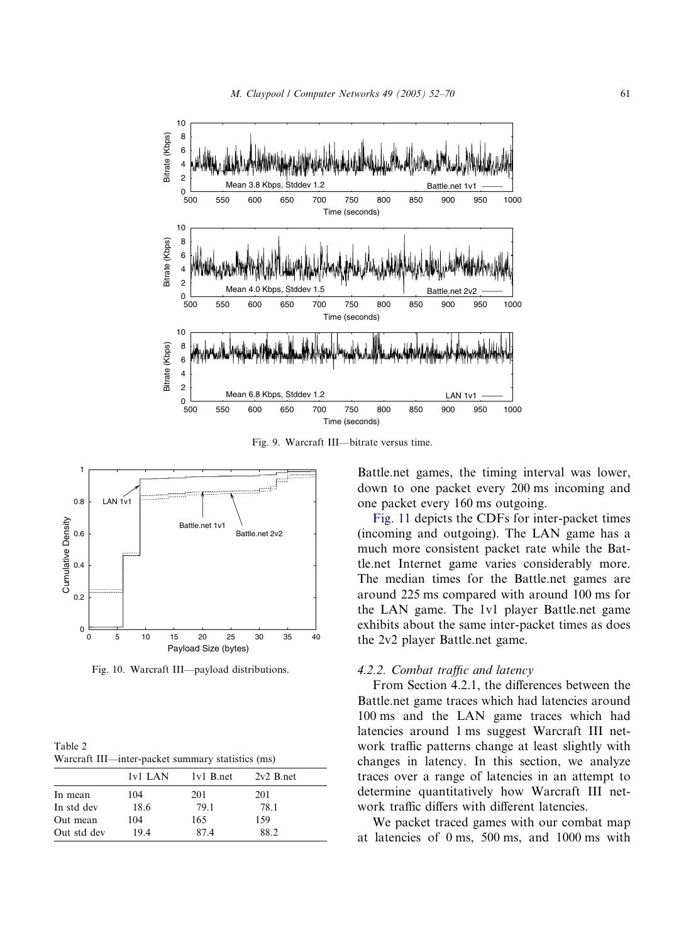<span id="page-9-0"></span>

Fig. 9. Warcraft III—bitrate versus time.



Fig. 10. Warcraft III—payload distributions.

Table 2 Warcraft III—inter-packet summary statistics (ms)

|             | 1v1 LAN | $1v1$ B.net | $2v2$ B.net |
|-------------|---------|-------------|-------------|
| In mean     | 104     | 201         | 201         |
| In std dev  | 18.6    | 79.1        | 78.1        |
| Out mean    | 104     | 165         | 159         |
| Out std dev | 194     | 874         | 88.2        |

Battle.net games, the timing interval was lower, down to one packet every 200 ms incoming and one packet every 160ms outgoing.

[Fig. 11](#page-10-0) depicts the CDFs for inter-packet times (incoming and outgoing). The LAN game has a much more consistent packet rate while the Battle.net Internet game varies considerably more. The median times for the Battle.net games are around 225 ms compared with around 100 ms for the LAN game. The 1v1 player Battle.net game exhibits about the same inter-packet times as does the 2v2 player Battle.net game.

#### 4.2.2. Combat traffic and latency

From Section 4.2.1, the differences between the Battle.net game traces which had latencies around 100 ms and the LAN game traces which had latencies around 1 ms suggest Warcraft III network traffic patterns change at least slightly with changes in latency. In this section, we analyze traces over a range of latencies in an attempt to determine quantitatively how Warcraft III network traffic differs with different latencies.

We packet traced games with our combat map at latencies of 0 ms, 500 ms, and 1000 ms with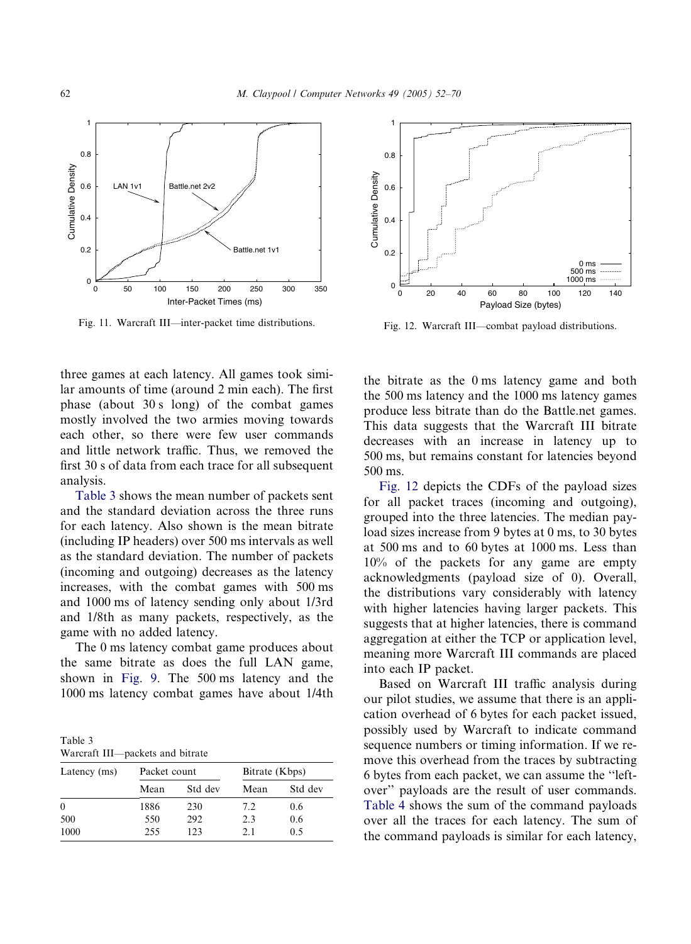<span id="page-10-0"></span>

Fig. 11. Warcraft III—inter-packet time distributions.

three games at each latency. All games took similar amounts of time (around 2 min each). The first phase (about 30s long) of the combat games mostly involved the two armies moving towards each other, so there were few user commands and little network traffic. Thus, we removed the first 30s of data from each trace for all subsequent analysis.

Table 3 shows the mean number of packets sent and the standard deviation across the three runs for each latency. Also shown is the mean bitrate (including IP headers) over 500 ms intervals as well as the standard deviation. The number of packets (incoming and outgoing) decreases as the latency increases, with the combat games with 500 ms and 1000 ms of latency sending only about 1/3rd and 1/8th as many packets, respectively, as the game with no added latency.

The 0 ms latency combat game produces about the same bitrate as does the full LAN game, shown in [Fig. 9.](#page-9-0) The 500 ms latency and the 1000 ms latency combat games have about 1/4th

Table 3 Warcraft III—packets and bitrate

| Latency (ms) | Packet count |         | Bitrate (Kbps) |         |
|--------------|--------------|---------|----------------|---------|
|              | Mean         | Std dev | Mean           | Std dev |
| $\Omega$     | 1886         | 230     | 7.2            | 0.6     |
| 500          | 550          | 292     | 2.3            | 0.6     |
| 1000         | 255          | 123     | 21             | 0.5     |



Fig. 12. Warcraft III—combat payload distributions.

the bitrate as the 0ms latency game and both the 500 ms latency and the 1000 ms latency games produce less bitrate than do the Battle.net games. This data suggests that the Warcraft III bitrate decreases with an increase in latency up to 500 ms, but remains constant for latencies beyond 500 ms.

Fig. 12 depicts the CDFs of the payload sizes for all packet traces (incoming and outgoing), grouped into the three latencies. The median payload sizes increase from 9 bytes at 0 ms, to 30 bytes at 500 ms and to 60 bytes at 1000 ms. Less than 10% of the packets for any game are empty acknowledgments (payload size of 0). Overall, the distributions vary considerably with latency with higher latencies having larger packets. This suggests that at higher latencies, there is command aggregation at either the TCP or application level, meaning more Warcraft III commands are placed into each IP packet.

Based on Warcraft III traffic analysis during our pilot studies, we assume that there is an application overhead of 6 bytes for each packet issued, possibly used by Warcraft to indicate command sequence numbers or timing information. If we remove this overhead from the traces by subtracting 6 bytes from each packet, we can assume the ''leftover'' payloads are the result of user commands. [Table 4](#page-11-0) shows the sum of the command payloads over all the traces for each latency. The sum of the command payloads is similar for each latency,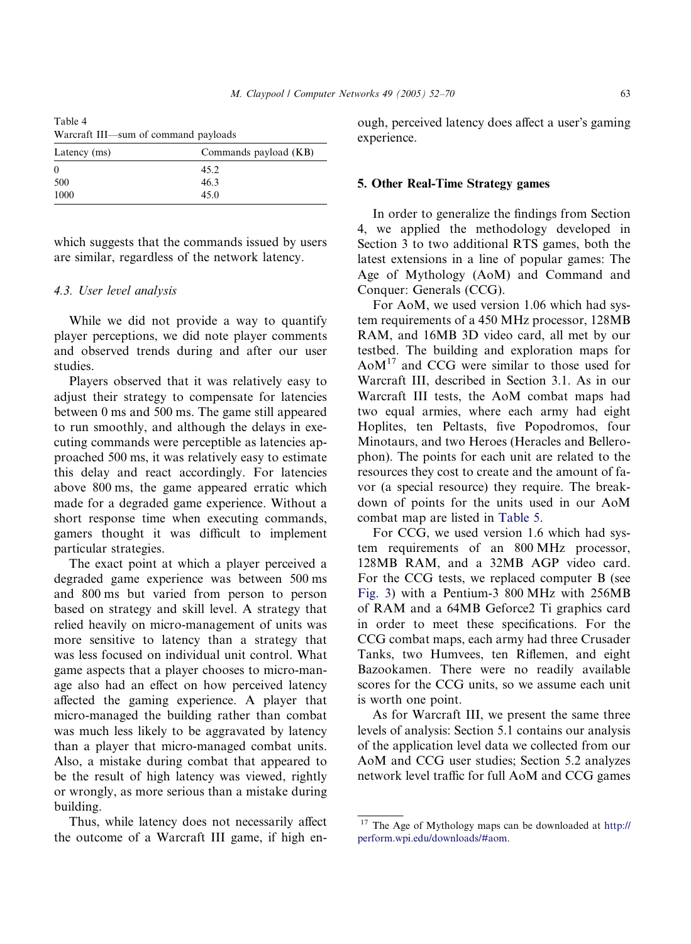<span id="page-11-0"></span>Table 4 Warcraft III—sum of command payloads

| Latency (ms) | Commands payload (KB) |
|--------------|-----------------------|
| $\mathbf{0}$ | 45.2                  |
| 500          | 46.3                  |
| 1000         | 45.0                  |

which suggests that the commands issued by users are similar, regardless of the network latency.

## 4.3. User level analysis

While we did not provide a way to quantify player perceptions, we did note player comments and observed trends during and after our user studies.

Players observed that it was relatively easy to adjust their strategy to compensate for latencies between 0 ms and 500 ms. The game still appeared to run smoothly, and although the delays in executing commands were perceptible as latencies approached 500 ms, it was relatively easy to estimate this delay and react accordingly. For latencies above 800 ms, the game appeared erratic which made for a degraded game experience. Without a short response time when executing commands, gamers thought it was difficult to implement particular strategies.

The exact point at which a player perceived a degraded game experience was between 500 ms and 800 ms but varied from person to person based on strategy and skill level. A strategy that relied heavily on micro-management of units was more sensitive to latency than a strategy that was less focused on individual unit control. What game aspects that a player chooses to micro-manage also had an effect on how perceived latency affected the gaming experience. A player that micro-managed the building rather than combat was much less likely to be aggravated by latency than a player that micro-managed combat units. Also, a mistake during combat that appeared to be the result of high latency was viewed, rightly or wrongly, as more serious than a mistake during building.

Thus, while latency does not necessarily affect the outcome of a Warcraft III game, if high enough, perceived latency does affect a user's gaming experience.

## 5. Other Real-Time Strategy games

In order to generalize the findings from Section 4, we applied the methodology developed in Section 3 to two additional RTS games, both the latest extensions in a line of popular games: The Age of Mythology (AoM) and Command and Conquer: Generals (CCG).

For AoM, we used version 1.06 which had system requirements of a 450MHz processor, 128MB RAM, and 16MB 3D video card, all met by our testbed. The building and exploration maps for  $A \cdot \text{OM}^{17}$  and CCG were similar to those used for Warcraft III, described in Section 3.1. As in our Warcraft III tests, the AoM combat maps had two equal armies, where each army had eight Hoplites, ten Peltasts, five Popodromos, four Minotaurs, and two Heroes (Heracles and Bellerophon). The points for each unit are related to the resources they cost to create and the amount of favor (a special resource) they require. The breakdown of points for the units used in our AoM combat map are listed in [Table 5](#page-12-0).

For CCG, we used version 1.6 which had system requirements of an 800 MHz processor, 128MB RAM, and a 32MB AGP video card. For the CCG tests, we replaced computer B (see [Fig. 3](#page-4-0)) with a Pentium-3 800 MHz with 256MB of RAM and a 64MB Geforce2 Ti graphics card in order to meet these specifications. For the CCG combat maps, each army had three Crusader Tanks, two Humvees, ten Riflemen, and eight Bazookamen. There were no readily available scores for the CCG units, so we assume each unit is worth one point.

As for Warcraft III, we present the same three levels of analysis: Section 5.1 contains our analysis of the application level data we collected from our AoM and CCG user studies; Section 5.2 analyzes network level traffic for full AoM and CCG games

<sup>&</sup>lt;sup>17</sup> The Age of Mythology maps can be downloaded at [http://](http://perform.wpi.edu/downloads/#aom) [perform.wpi.edu/downloads/#aom.](http://perform.wpi.edu/downloads/#aom)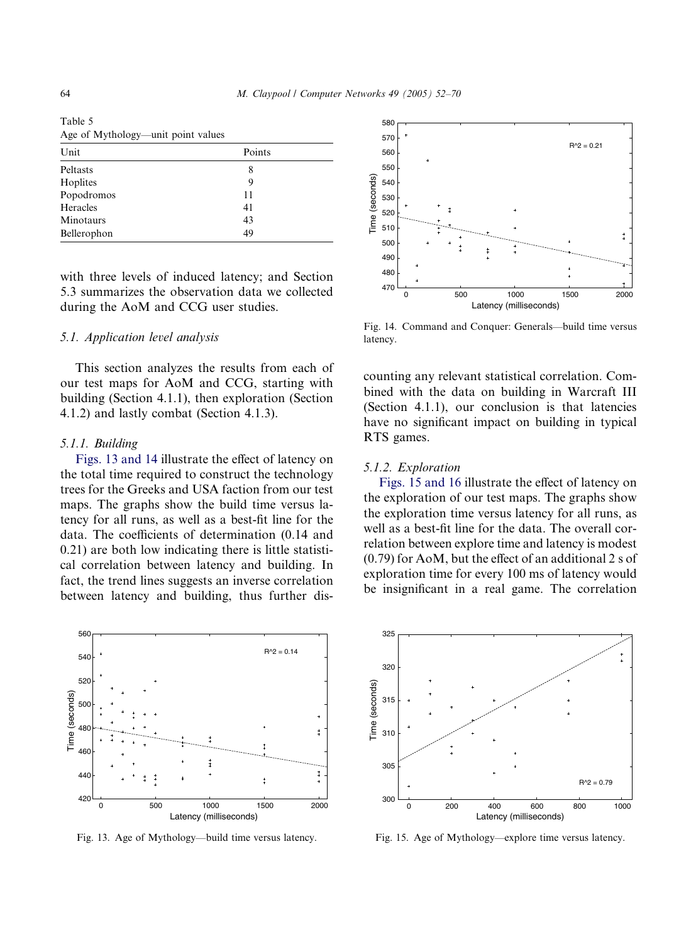<span id="page-12-0"></span>

| Table 5                            |  |
|------------------------------------|--|
| Age of Mythology—unit point values |  |

| Points |
|--------|
| 8      |
| 9      |
| 11     |
| 41     |
| 43     |
| 49     |
|        |

with three levels of induced latency; and Section 5.3 summarizes the observation data we collected during the AoM and CCG user studies.

## 5.1. Application level analysis

This section analyzes the results from each of our test maps for AoM and CCG, starting with building (Section 4.1.1), then exploration (Section 4.1.2) and lastly combat (Section 4.1.3).

#### 5.1.1. Building

Figs. 13 and 14 illustrate the effect of latency on the total time required to construct the technology trees for the Greeks and USA faction from our test maps. The graphs show the build time versus latency for all runs, as well as a best-fit line for the data. The coefficients of determination (0.14 and 0.21) are both low indicating there is little statistical correlation between latency and building. In fact, the trend lines suggests an inverse correlation between latency and building, thus further dis-



Fig. 13. Age of Mythology—build time versus latency.



Fig. 14. Command and Conquer: Generals—build time versus latency.

counting any relevant statistical correlation. Combined with the data on building in Warcraft III (Section 4.1.1), our conclusion is that latencies have no significant impact on building in typical RTS games.

## 5.1.2. Exploration

Figs. 15 and 16 illustrate the effect of latency on the exploration of our test maps. The graphs show the exploration time versus latency for all runs, as well as a best-fit line for the data. The overall correlation between explore time and latency is modest (0.79) for AoM, but the effect of an additional 2 s of exploration time for every 100 ms of latency would be insignificant in a real game. The correlation



Fig. 15. Age of Mythology—explore time versus latency.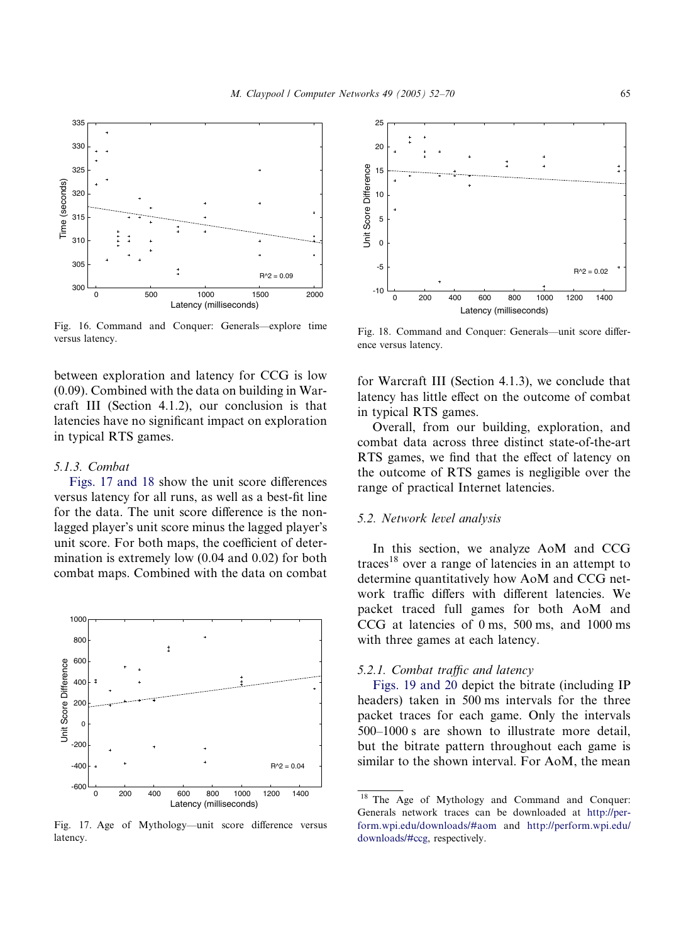

Fig. 16. Command and Conquer: Generals—explore time versus latency.

between exploration and latency for CCG is low (0.09). Combined with the data on building in Warcraft III (Section 4.1.2), our conclusion is that latencies have no significant impact on exploration in typical RTS games.

# 5.1.3. Combat

Figs. 17 and 18 show the unit score differences versus latency for all runs, as well as a best-fit line for the data. The unit score difference is the nonlagged player's unit score minus the lagged player's unit score. For both maps, the coefficient of determination is extremely low (0.04 and 0.02) for both combat maps. Combined with the data on combat



Fig. 17. Age of Mythology—unit score difference versus latency.



Fig. 18. Command and Conquer: Generals—unit score difference versus latency.

for Warcraft III (Section 4.1.3), we conclude that latency has little effect on the outcome of combat in typical RTS games.

Overall, from our building, exploration, and combat data across three distinct state-of-the-art RTS games, we find that the effect of latency on the outcome of RTS games is negligible over the range of practical Internet latencies.

## 5.2. Network level analysis

In this section, we analyze AoM and CCG traces<sup>18</sup> over a range of latencies in an attempt to determine quantitatively how AoM and CCG network traffic differs with different latencies. We packet traced full games for both AoM and CCG at latencies of 0 ms, 500 ms, and 1000 ms with three games at each latency.

## 5.2.1. Combat traffic and latency

[Figs. 19 and 20](#page-14-0) depict the bitrate (including IP headers) taken in 500 ms intervals for the three packet traces for each game. Only the intervals 500–1000 s are shown to illustrate more detail, but the bitrate pattern throughout each game is similar to the shown interval. For AoM, the mean

<sup>18</sup> The Age of Mythology and Command and Conquer: Generals network traces can be downloaded at [http://per](http://perform.wpi.edu/downloads/#aom)[form.wpi.edu/downloads/#aom](http://perform.wpi.edu/downloads/#aom) and [http://perform.wpi.edu/](http://perform.wpi.edu/downloads/#ccg) [downloads/#ccg,](http://perform.wpi.edu/downloads/#ccg) respectively.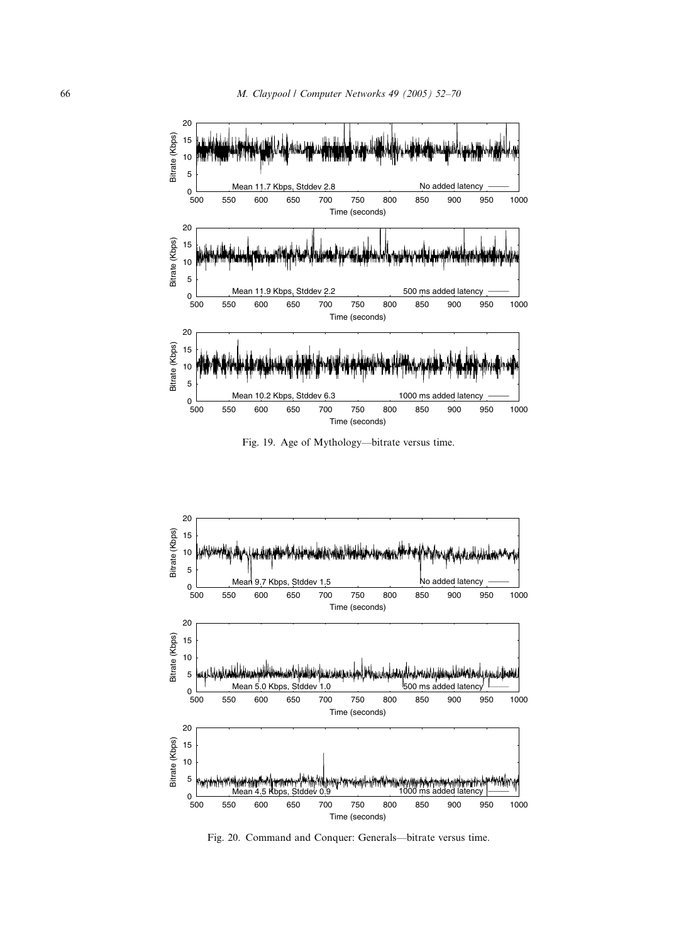<span id="page-14-0"></span>

Fig. 19. Age of Mythology—bitrate versus time.



Fig. 20. Command and Conquer: Generals—bitrate versus time.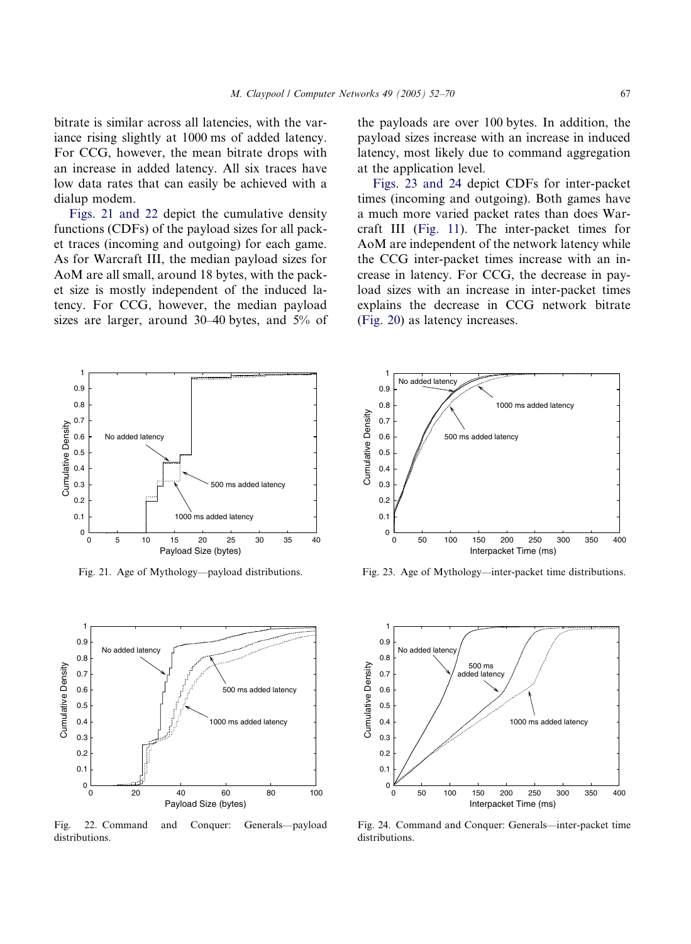bitrate is similar across all latencies, with the variance rising slightly at 1000 ms of added latency. For CCG, however, the mean bitrate drops with an increase in added latency. All six traces have low data rates that can easily be achieved with a dialup modem.

Figs. 21 and 22 depict the cumulative density functions (CDFs) of the payload sizes for all packet traces (incoming and outgoing) for each game. As for Warcraft III, the median payload sizes for AoM are all small, around 18 bytes, with the packet size is mostly independent of the induced latency. For CCG, however, the median payload sizes are larger, around 30–40 bytes, and 5% of the payloads are over 100 bytes. In addition, the payload sizes increase with an increase in induced latency, most likely due to command aggregation at the application level.

Figs. 23 and 24 depict CDFs for inter-packet times (incoming and outgoing). Both games have a much more varied packet rates than does Warcraft III [\(Fig. 11](#page-10-0)). The inter-packet times for AoM are independent of the network latency while the CCG inter-packet times increase with an increase in latency. For CCG, the decrease in payload sizes with an increase in inter-packet times explains the decrease in CCG network bitrate ([Fig. 20](#page-14-0)) as latency increases.



Fig. 21. Age of Mythology—payload distributions.



Fig. 22. Command and Conquer: Generals—payload distributions.



Fig. 23. Age of Mythology—inter-packet time distributions.



Fig. 24. Command and Conquer: Generals—inter-packet time distributions.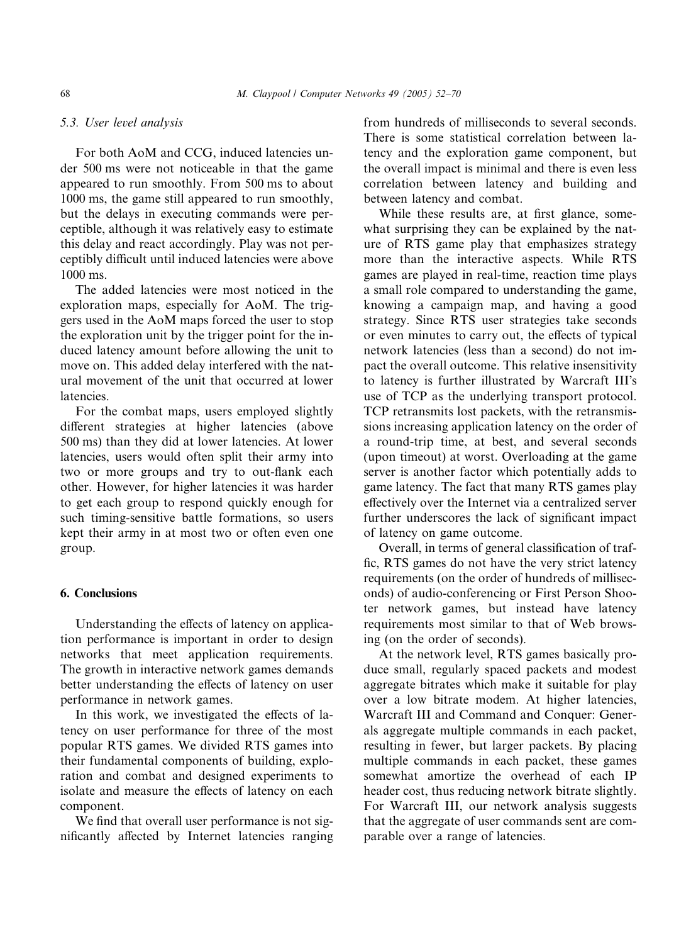## 5.3. User level analysis

For both AoM and CCG, induced latencies under 500 ms were not noticeable in that the game appeared to run smoothly. From 500 ms to about 1000 ms, the game still appeared to run smoothly, but the delays in executing commands were perceptible, although it was relatively easy to estimate this delay and react accordingly. Play was not perceptibly difficult until induced latencies were above 1000 ms.

The added latencies were most noticed in the exploration maps, especially for AoM. The triggers used in the AoM maps forced the user to stop the exploration unit by the trigger point for the induced latency amount before allowing the unit to move on. This added delay interfered with the natural movement of the unit that occurred at lower latencies.

For the combat maps, users employed slightly different strategies at higher latencies (above 500 ms) than they did at lower latencies. At lower latencies, users would often split their army into two or more groups and try to out-flank each other. However, for higher latencies it was harder to get each group to respond quickly enough for such timing-sensitive battle formations, so users kept their army in at most two or often even one group.

#### 6. Conclusions

Understanding the effects of latency on application performance is important in order to design networks that meet application requirements. The growth in interactive network games demands better understanding the effects of latency on user performance in network games.

In this work, we investigated the effects of latency on user performance for three of the most popular RTS games. We divided RTS games into their fundamental components of building, exploration and combat and designed experiments to isolate and measure the effects of latency on each component.

We find that overall user performance is not significantly affected by Internet latencies ranging from hundreds of milliseconds to several seconds. There is some statistical correlation between latency and the exploration game component, but the overall impact is minimal and there is even less correlation between latency and building and between latency and combat.

While these results are, at first glance, somewhat surprising they can be explained by the nature of RTS game play that emphasizes strategy more than the interactive aspects. While RTS games are played in real-time, reaction time plays a small role compared to understanding the game, knowing a campaign map, and having a good strategy. Since RTS user strategies take seconds or even minutes to carry out, the effects of typical network latencies (less than a second) do not impact the overall outcome. This relative insensitivity to latency is further illustrated by Warcraft III's use of TCP as the underlying transport protocol. TCP retransmits lost packets, with the retransmissions increasing application latency on the order of a round-trip time, at best, and several seconds (upon timeout) at worst. Overloading at the game server is another factor which potentially adds to game latency. The fact that many RTS games play effectively over the Internet via a centralized server further underscores the lack of significant impact of latency on game outcome.

Overall, in terms of general classification of traffic, RTS games do not have the very strict latency requirements (on the order of hundreds of milliseconds) of audio-conferencing or First Person Shooter network games, but instead have latency requirements most similar to that of Web browsing (on the order of seconds).

At the network level, RTS games basically produce small, regularly spaced packets and modest aggregate bitrates which make it suitable for play over a low bitrate modem. At higher latencies, Warcraft III and Command and Conquer: Generals aggregate multiple commands in each packet, resulting in fewer, but larger packets. By placing multiple commands in each packet, these games somewhat amortize the overhead of each IP header cost, thus reducing network bitrate slightly. For Warcraft III, our network analysis suggests that the aggregate of user commands sent are comparable over a range of latencies.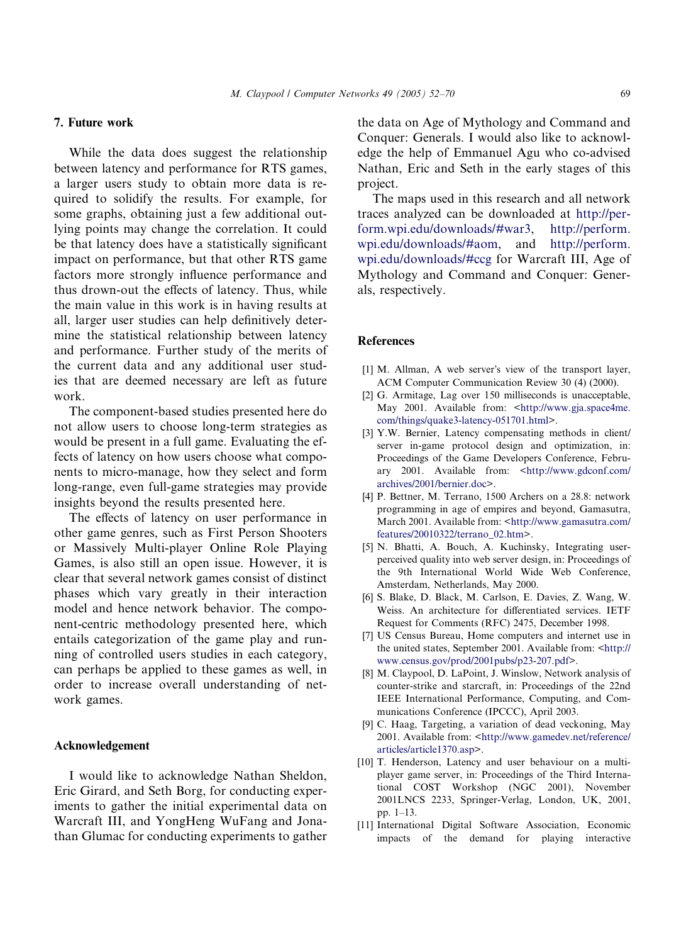## <span id="page-17-0"></span>7. Future work

While the data does suggest the relationship between latency and performance for RTS games, a larger users study to obtain more data is required to solidify the results. For example, for some graphs, obtaining just a few additional outlying points may change the correlation. It could be that latency does have a statistically significant impact on performance, but that other RTS game factors more strongly influence performance and thus drown-out the effects of latency. Thus, while the main value in this work is in having results at all, larger user studies can help definitively determine the statistical relationship between latency and performance. Further study of the merits of the current data and any additional user studies that are deemed necessary are left as future work.

The component-based studies presented here do not allow users to choose long-term strategies as would be present in a full game. Evaluating the effects of latency on how users choose what components to micro-manage, how they select and form long-range, even full-game strategies may provide insights beyond the results presented here.

The effects of latency on user performance in other game genres, such as First Person Shooters or Massively Multi-player Online Role Playing Games, is also still an open issue. However, it is clear that several network games consist of distinct phases which vary greatly in their interaction model and hence network behavior. The component-centric methodology presented here, which entails categorization of the game play and running of controlled users studies in each category, can perhaps be applied to these games as well, in order to increase overall understanding of network games.

## Acknowledgement

I would like to acknowledge Nathan Sheldon, Eric Girard, and Seth Borg, for conducting experiments to gather the initial experimental data on Warcraft III, and YongHeng WuFang and Jonathan Glumac for conducting experiments to gather the data on Age of Mythology and Command and Conquer: Generals. I would also like to acknowledge the help of Emmanuel Agu who co-advised Nathan, Eric and Seth in the early stages of this project.

The maps used in this research and all network traces analyzed can be downloaded at [http://per](http://perform.wpi.edu/downloads/#war3)[form.wpi.edu/downloads/#war3](http://perform.wpi.edu/downloads/#war3), [http://perform.](http://perform.wpi.edu/downloads/#aom) [wpi.edu/downloads/#aom](http://perform.wpi.edu/downloads/#aom), and [http://perform.](http://perform.wpi.edu/downloads/#ccg) [wpi.edu/downloads/#ccg](http://perform.wpi.edu/downloads/#ccg) for Warcraft III, Age of Mythology and Command and Conquer: Generals, respectively.

## References

- [1] M. Allman, A web server's view of the transport layer, ACM Computer Communication Review 30 (4) (2000).
- [2] G. Armitage, Lag over 150 milliseconds is unacceptable, May 2001. Available from: [<http://www.gja.space4me.](http://www.gja.space4me.com/things/quake3-latency-051701.html) [com/things/quake3-latency-051701.html](http://www.gja.space4me.com/things/quake3-latency-051701.html)>.
- [3] Y.W. Bernier, Latency compensating methods in client/ server in-game protocol design and optimization, in: Proceedings of the Game Developers Conference, February 2001. Available from: <[http://www.gdconf.com/](http://www.gdconf.com/archives/2001/bernier.doc) [archives/2001/bernier.doc](http://www.gdconf.com/archives/2001/bernier.doc)>.
- [4] P. Bettner, M. Terrano, 1500 Archers on a 28.8: network programming in age of empires and beyond, Gamasutra, March 2001. Available from: [<http://www.gamasutra.com/](http://www.gamasutra.com/features/20010322/terrano_02.htm) [features/20010322/terrano\\_02.htm>](http://www.gamasutra.com/features/20010322/terrano_02.htm).
- [5] N. Bhatti, A. Bouch, A. Kuchinsky, Integrating userperceived quality into web server design, in: Proceedings of the 9th International World Wide Web Conference, Amsterdam, Netherlands, May 2000.
- [6] S. Blake, D. Black, M. Carlson, E. Davies, Z. Wang, W. Weiss. An architecture for differentiated services. IETF Request for Comments (RFC) 2475, December 1998.
- [7] US Census Bureau, Home computers and internet use in the united states, September 2001. Available from: [<http://](http://www.census.gov/prod/2001pubs/p23-207.pdf) [www.census.gov/prod/2001pubs/p23-207.pdf](http://www.census.gov/prod/2001pubs/p23-207.pdf)>.
- [8] M. Claypool, D. LaPoint, J. Winslow, Network analysis of counter-strike and starcraft, in: Proceedings of the 22nd IEEE International Performance, Computing, and Communications Conference (IPCCC), April 2003.
- [9] C. Haag, Targeting, a variation of dead veckoning, May 2001. Available from: [<http://www.gamedev.net/reference/](http://www.gamedev.net/reference/articles/article1370.asp) [articles/article1370.asp>](http://www.gamedev.net/reference/articles/article1370.asp).
- [10] T. Henderson, Latency and user behaviour on a multiplayer game server, in: Proceedings of the Third International COST Workshop (NGC 2001), November 2001LNCS 2233, Springer-Verlag, London, UK, 2001, pp. 1–13.
- [11] International Digital Software Association, Economic impacts of the demand for playing interactive